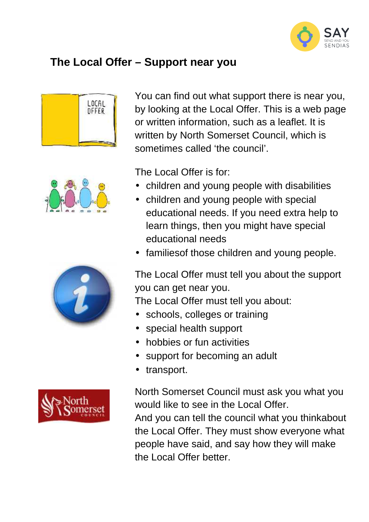

## **The Local Offer – Support near you**









You can find out what support there is near you, by looking at the Local Offer. This is a web page or written information, such as a leaflet. It is written by North Somerset Council, which is sometimes called 'the council'.

The Local Offer is for:

- children and young people with disabilities
- children and young people with special educational needs. If you need extra help to learn things, then you might have special educational needs
- families of those children and young people.

The Local Offer must tell you about the support you can get near you.

The Local Offer must tell you about:

- schools, colleges or training
- special health support
- hobbies or fun activities
- support for becoming an adult
- transport.

North Somerset Council must ask you what you would like to see in the Local Offer.

And you can tell the council what you thinkabout the Local Offer. They must show everyone what people have said, and say how they will make the Local Offer better.